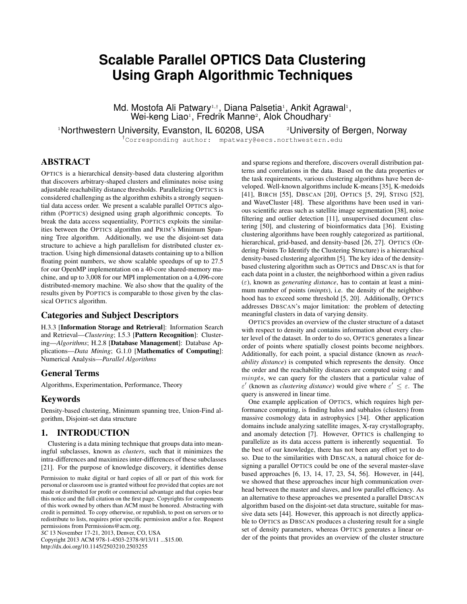# **Scalable Parallel OPTICS Data Clustering Using Graph Algorithmic Techniques**

Md. Mostofa Ali Patwary<sup>1,†</sup>, Diana Palsetia<sup>1</sup>, Ankit Agrawal<sup>1</sup>, Wei-keng Liao<sup>1</sup>, Fredrik Manne<sup>2</sup>, Alok Choudhary<sup>1</sup>

<sup>1</sup>Northwestern University, Evanston, IL 60208, USA <sup>2</sup>University of Bergen, Norway

†Corresponding author: mpatwary@eecs.northwestern.edu

# ABSTRACT

OPTICS is a hierarchical density-based data clustering algorithm that discovers arbitrary-shaped clusters and eliminates noise using adjustable reachability distance thresholds. Parallelizing OPTICS is considered challenging as the algorithm exhibits a strongly sequential data access order. We present a scalable parallel OPTICS algorithm (POPTICS) designed using graph algorithmic concepts. To break the data access sequentiality, POPTICS exploits the similarities between the OPTICS algorithm and PRIM's Minimum Spanning Tree algorithm. Additionally, we use the disjoint-set data structure to achieve a high parallelism for distributed cluster extraction. Using high dimensional datasets containing up to a billion floating point numbers, we show scalable speedups of up to 27.5 for our OpenMP implementation on a 40-core shared-memory machine, and up to 3,008 for our MPI implementation on a 4,096-core distributed-memory machine. We also show that the quality of the results given by POPTICS is comparable to those given by the classical OPTICS algorithm.

#### Categories and Subject Descriptors

H.3.3 [Information Storage and Retrieval]: Information Search and Retrieval—*Clustering*; I.5.3 [Pattern Recognition]: Clustering—*Algorithms*; H.2.8 [Database Management]: Database Applications—*Data Mining*; G.1.0 [Mathematics of Computing]: Numerical Analysis—*Parallel Algorithms*

# General Terms

Algorithms, Experimentation, Performance, Theory

# Keywords

Density-based clustering, Minimum spanning tree, Union-Find algorithm, Disjoint-set data structure

# 1. INTRODUCTION

Clustering is a data mining technique that groups data into meaningful subclasses, known as *clusters*, such that it minimizes the intra-differences and maximizes inter-differences of these subclasses [21]. For the purpose of knowledge discovery, it identifies dense

Permission to make digital or hard copies of all or part of this work for personal or classroom use is granted without fee provided that copies are not made or distributed for profit or commercial advantage and that copies bear this notice and the full citation on the first page. Copyrights for components of this work owned by others than ACM must be honored. Abstracting with credit is permitted. To copy otherwise, or republish, to post on servers or to redistribute to lists, requires prior specific permission and/or a fee. Request permissions from Permissions@acm.org.

*SC* 13 November 17-21, 2013, Denver, CO, USA

Copyright 2013 ACM 978-1-4503-2378-9/13/11 ...\$15.00. http://dx.doi.org/10.1145/2503210.2503255

and sparse regions and therefore, discovers overall distribution patterns and correlations in the data. Based on the data properties or the task requirements, various clustering algorithms have been developed. Well-known algorithms include K-means [35], K-medoids [41], BIRCH [55], DBSCAN [20], OPTICS [5, 29], STING [52], and WaveCluster [48]. These algorithms have been used in various scientific areas such as satellite image segmentation [38], noise filtering and outlier detection [11], unsupervised document clustering [50], and clustering of bioinformatics data [36]. Existing clustering algorithms have been roughly categorized as partitional, hierarchical, grid-based, and density-based [26, 27]. OPTICS (Ordering Points To Identify the Clustering Structure) is a hierarchical density-based clustering algorithm [5]. The key idea of the densitybased clustering algorithm such as OPTICS and DBSCAN is that for each data point in a cluster, the neighborhood within a given radius  $(\varepsilon)$ , known as *generating distance*, has to contain at least a minimum number of points (*minpts*), i.e. the density of the neighborhood has to exceed some threshold [5, 20]. Additionally, OPTICS addresses DBSCAN's major limitation: the problem of detecting meaningful clusters in data of varying density.

OPTICS provides an overview of the cluster structure of a dataset with respect to density and contains information about every cluster level of the dataset. In order to do so, OPTICS generates a linear order of points where spatially closest points become neighbors. Additionally, for each point, a spacial distance (known as *reachability distance*) is computed which represents the density. Once the order and the reachability distances are computed using  $\varepsilon$  and minpts, we can query for the clusters that a particular value of  $\varepsilon'$  (known as *clustering distance*) would give where  $\varepsilon' \leq \varepsilon$ . The query is answered in linear time.

One example application of OPTICS, which requires high performance computing, is finding halos and subhalos (clusters) from massive cosmology data in astrophysics [34]. Other application domains include analyzing satellite images, X-ray crystallography, and anomaly detection [7]. However, OPTICS is challenging to parallelize as its data access pattern is inherently sequential. To the best of our knowledge, there has not been any effort yet to do so. Due to the similarities with DBSCAN, a natural choice for designing a parallel OPTICS could be one of the several master-slave based approaches [6, 13, 14, 17, 23, 54, 56]. However, in [44], we showed that these approaches incur high communication overhead between the master and slaves, and low parallel efficiency. As an alternative to these approaches we presented a parallel DBSCAN algorithm based on the disjoint-set data structure, suitable for massive data sets [44]. However, this approach is not directly applicable to OPTICS as DBSCAN produces a clustering result for a single set of density parameters, whereas OPTICS generates a linear order of the points that provides an overview of the cluster structure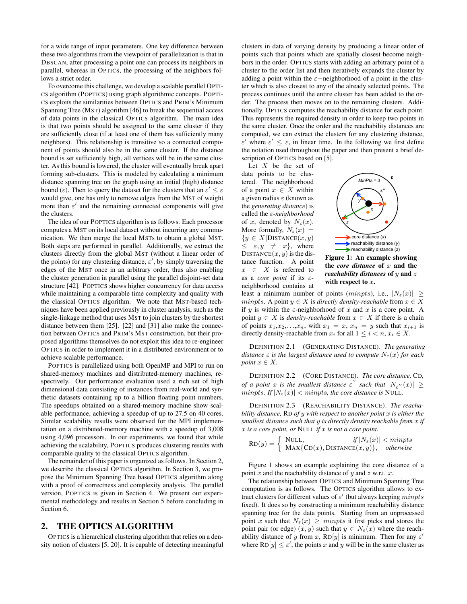for a wide range of input parameters. One key difference between these two algorithms from the viewpoint of parallelization is that in DBSCAN, after processing a point one can process its neighbors in parallel, whereas in OPTICS, the processing of the neighbors follows a strict order.

To overcome this challenge, we develop a scalable parallel OPTI-CS algorithm (POPTICS) using graph algorithmic concepts. POPTI-CS exploits the similarities between OPTICS and PRIM's Minimum Spanning Tree (MST) algorithm [46] to break the sequential access of data points in the classical OPTICS algorithm. The main idea is that two points should be assigned to the same cluster if they are sufficiently close (if at least one of them has sufficiently many neighbors). This relationship is transitive so a connected component of points should also be in the same cluster. If the distance bound is set sufficiently high, all vertices will be in the same cluster. As this bound is lowered, the cluster will eventually break apart forming sub-clusters. This is modeled by calculating a minimum distance spanning tree on the graph using an initial (high) distance bound ( $\varepsilon$ ). Then to query the dataset for the clusters that an  $\varepsilon' \leq \varepsilon$ would give, one has only to remove edges from the MST of weight more than  $\varepsilon'$  and the remaining connected components will give the clusters.

The idea of our POPTICS algorithm is as follows. Each processor computes a MST on its local dataset without incurring any communication. We then merge the local MSTs to obtain a global MST. Both steps are performed in parallel. Additionally, we extract the clusters directly from the global MST (without a linear order of the points) for any clustering distance,  $\varepsilon'$ , by simply traversing the edges of the MST once in an arbitrary order, thus also enabling the cluster generation in parallel using the parallel disjoint-set data structure [42]. POPTICS shows higher concurrency for data access while maintaining a comparable time complexity and quality with the classical OPTICS algorithm. We note that MST-based techniques have been applied previously in cluster analysis, such as the single-linkage method that uses MST to join clusters by the shortest distance between them [25]. [22] and [31] also make the connection between OPTICS and PRIM's MST construction, but their proposed algorithms themselves do not exploit this idea to re-engineer OPTICS in order to implement it in a distributed environment or to achieve scalable performance.

POPTICS is parallelized using both OpenMP and MPI to run on shared-memory machines and distributed-memory machines, respectively. Our performance evaluation used a rich set of high dimensional data consisting of instances from real-world and synthetic datasets containing up to a billion floating point numbers. The speedups obtained on a shared-memory machine show scalable performance, achieving a speedup of up to 27.5 on 40 cores. Similar scalability results were observed for the MPI implementation on a distributed-memory machine with a speedup of 3,008 using 4,096 processors. In our experiments, we found that while achieving the scalability, POPTICS produces clustering results with comparable quality to the classical OPTICS algorithm.

The remainder of this paper is organized as follows. In Section 2, we describe the classical OPTICS algorithm. In Section 3, we propose the Minimum Spanning Tree based OPTICS algorithm along with a proof of correctness and complexity analysis. The parallel version, POPTICS is given in Section 4. We present our experimental methodology and results in Section 5 before concluding in Section 6.

# 2. THE OPTICS ALGORITHM

OPTICS is a hierarchical clustering algorithm that relies on a density notion of clusters [5, 20]. It is capable of detecting meaningful clusters in data of varying density by producing a linear order of points such that points which are spatially closest become neighbors in the order. OPTICS starts with adding an arbitrary point of a cluster to the order list and then iteratively expands the cluster by adding a point within the  $\varepsilon$ -neighborhood of a point in the cluster which is also closest to any of the already selected points. The process continues until the entire cluster has been added to the order. The process then moves on to the remaining clusters. Additionally, OPTICS computes the reachability distance for each point. This represents the required density in order to keep two points in the same cluster. Once the order and the reachability distances are computed, we can extract the clusters for any clustering distance,  $\varepsilon'$  where  $\varepsilon' \leq \varepsilon$ , in linear time. In the following we first define the notation used throughout the paper and then present a brief description of OPTICS based on [5].

Let  $X$  be the set of data points to be clustered. The neighborhood of a point  $x \in X$  within a given radius  $\varepsilon$  (known as the *generating distance*) is called the ε*-neighborhood* of x, denoted by  $N_{\varepsilon}(x)$ . More formally,  $N_{\varepsilon}(x)$  =  ${y \in X|\text{DISTANCE}(x, y)}$  $\leq \varepsilon, y \neq x$ , where DISTANCE $(x, y)$  is the distance function. A point  $x \in X$  is referred to as a *core point* if its εneighborhood contains at



Figure 1: An example showing the *core* distance of x and the *reachability distances* of y and z with respect to  $x$ .

least a minimum number of points (minpts), i.e.,  $|N_{\varepsilon}(x)| \ge$ *minpts.* A point  $y \in X$  is *directly density-reachable* from  $x \in X$ if y is within the  $\varepsilon$ -neighborhood of x and x is a core point. A point  $y \in X$  is *density-reachable* from  $x \in X$  if there is a chain of points  $x_1, x_2, \ldots, x_n$ , with  $x_1 = x$ ,  $x_n = y$  such that  $x_{i+1}$  is directly density-reachable from  $x_i$  for all  $1 \leq i < n$ ,  $x_i \in X$ .

DEFINITION 2.1 (GENERATING DISTANCE). *The generating distance*  $\varepsilon$  *is the largest distance used to compute*  $N_{\varepsilon}(x)$  *for each point*  $x \in X$ .

DEFINITION 2.2 (CORE DISTANCE). *The core distance,* CD*, of a point* x *is the smallest distance*  $\varepsilon$ <sup>"</sup> such that  $|N_{\varepsilon}$ " $(x)| \ge$  $minpts.$  If  $|N_{\varepsilon}(x)| < minpts$ , the core distance is NULL.

DEFINITION 2.3 (REACHABILITY DISTANCE). *The reachability distance,* RD *of* y *with respect to another point* x *is either the smallest distance such that* y *is directly density reachable from* x *if* x *is a core point, or* NULL *if* x *is not a core point.*

$$
RD(y) = \begin{cases} \text{ NULL}, & \text{if } |N_{\varepsilon}(x)| < \text{minpts} \\ \text{ MAX{CD}(x), \text{DISTANCE}(x, y) \}, & \text{otherwise} \end{cases}
$$

Figure 1 shows an example explaining the core distance of a point x and the reachability distance of y and z w.r.t. x.

The relationship between OPTICS and Minimum Spanning Tree computation is as follows. The OPTICS algorithm allows to extract clusters for different values of  $\varepsilon'$  (but always keeping *minpts* fixed). It does so by constructing a minimum reachability distance spanning tree for the data points. Starting from an unprocessed point x such that  $N_{\varepsilon}(x) \geq \text{minpts}$  it first picks and stores the point pair (or edge)  $(x, y)$  such that  $y \in N_{\varepsilon}(x)$  where the reachability distance of y from x,  $RD[y]$  is minimum. Then for any  $\varepsilon'$ where  $RD[y] \le \varepsilon'$ , the points x and y will be in the same cluster as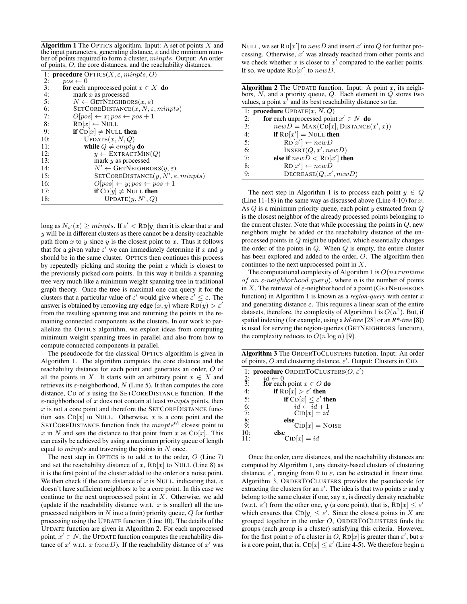Algorithm 1 The OPTICS algorithm. Input: A set of points  $X$  and the input parameters, generating distance,  $\varepsilon$  and the minimum number of points required to form a cluster, *minpts*. Output: An order of points, O, the core distances, and the reachability distances.

| 1: <b>procedure</b> ${\rm OPTICS}(X, \varepsilon, \textit{minpts}, O)$<br>2:<br>$pos \leftarrow 0$<br>3:<br>for each unprocessed point $x \in X$ do<br>4:<br>mark $x$ as processed<br>5:<br>$N \leftarrow$ GETNEIGHBORS $(x, \varepsilon)$<br>6:<br>$SETCOREDISTANCE(x, N, \varepsilon, minpts)$<br>$O[pos] \leftarrow x; pos \leftarrow pos + 1$<br>7:<br>$RD[x] \leftarrow NULL$<br>8:<br><b>if</b> $CD[x] \neq$ NULL then<br>9:<br>UPDATE(x, N, Q)<br>10:<br>11:<br>while $Q \neq empty$ do<br>12:<br>$y \leftarrow \text{EXTRACTMIN}(Q)$<br>13:<br>mark y as processed<br>$N' \leftarrow$ GETNEIGHBORS $(y, \varepsilon)$<br>14:<br>SETCOREDISTANCE $(y, N', \varepsilon,$ <i>minpts</i> )<br>15:<br>16:<br>$O[pos] \leftarrow y; pos \leftarrow pos + 1$<br>if $CD[y] \neq NULL$ then<br>17:<br>UPDATE(y, N', Q)<br>18: |  |
|------------------------------------------------------------------------------------------------------------------------------------------------------------------------------------------------------------------------------------------------------------------------------------------------------------------------------------------------------------------------------------------------------------------------------------------------------------------------------------------------------------------------------------------------------------------------------------------------------------------------------------------------------------------------------------------------------------------------------------------------------------------------------------------------------------------------------|--|
|                                                                                                                                                                                                                                                                                                                                                                                                                                                                                                                                                                                                                                                                                                                                                                                                                              |  |
|                                                                                                                                                                                                                                                                                                                                                                                                                                                                                                                                                                                                                                                                                                                                                                                                                              |  |
|                                                                                                                                                                                                                                                                                                                                                                                                                                                                                                                                                                                                                                                                                                                                                                                                                              |  |
|                                                                                                                                                                                                                                                                                                                                                                                                                                                                                                                                                                                                                                                                                                                                                                                                                              |  |
|                                                                                                                                                                                                                                                                                                                                                                                                                                                                                                                                                                                                                                                                                                                                                                                                                              |  |
|                                                                                                                                                                                                                                                                                                                                                                                                                                                                                                                                                                                                                                                                                                                                                                                                                              |  |
|                                                                                                                                                                                                                                                                                                                                                                                                                                                                                                                                                                                                                                                                                                                                                                                                                              |  |
|                                                                                                                                                                                                                                                                                                                                                                                                                                                                                                                                                                                                                                                                                                                                                                                                                              |  |
|                                                                                                                                                                                                                                                                                                                                                                                                                                                                                                                                                                                                                                                                                                                                                                                                                              |  |
|                                                                                                                                                                                                                                                                                                                                                                                                                                                                                                                                                                                                                                                                                                                                                                                                                              |  |
|                                                                                                                                                                                                                                                                                                                                                                                                                                                                                                                                                                                                                                                                                                                                                                                                                              |  |
|                                                                                                                                                                                                                                                                                                                                                                                                                                                                                                                                                                                                                                                                                                                                                                                                                              |  |
|                                                                                                                                                                                                                                                                                                                                                                                                                                                                                                                                                                                                                                                                                                                                                                                                                              |  |
|                                                                                                                                                                                                                                                                                                                                                                                                                                                                                                                                                                                                                                                                                                                                                                                                                              |  |
|                                                                                                                                                                                                                                                                                                                                                                                                                                                                                                                                                                                                                                                                                                                                                                                                                              |  |
|                                                                                                                                                                                                                                                                                                                                                                                                                                                                                                                                                                                                                                                                                                                                                                                                                              |  |
|                                                                                                                                                                                                                                                                                                                                                                                                                                                                                                                                                                                                                                                                                                                                                                                                                              |  |
|                                                                                                                                                                                                                                                                                                                                                                                                                                                                                                                                                                                                                                                                                                                                                                                                                              |  |

long as  $N_{\varepsilon'}(x) \geq minpts$ . If  $\varepsilon' < RD[y]$  then it is clear that x and  $y$  will be in different clusters as there cannot be a density-reachable path from x to y since y is the closest point to x. Thus it follows that for a given value  $\varepsilon'$  we can immediately determine if x and y should be in the same cluster. OPTICS then continues this process by repeatedly picking and storing the point  $z$  which is closest to the previously picked core points. In this way it builds a spanning tree very much like a minimum weight spanning tree in traditional graph theory. Once the tree is maximal one can query it for the clusters that a particular value of  $\varepsilon'$  would give where  $\varepsilon' \leq \varepsilon$ . The answer is obtained by removing any edge  $(x, y)$  where  $RD(y) > \varepsilon'$ from the resulting spanning tree and returning the points in the remaining connected components as the clusters. In our work to parallelize the OPTICS algorithm, we exploit ideas from computing minimum weight spanning trees in parallel and also from how to compute connected components in parallel.

The pseudocode for the classical OPTICS algorithm is given in Algorithm 1. The algorithm computes the core distance and the reachability distance for each point and generates an order, O of all the points in X. It starts with an arbitrary point  $x \in X$  and retrieves its  $\varepsilon$ -neighborhood, N (Line 5). It then computes the core distance, CD of  $x$  using the SETCOREDISTANCE function. If the  $\varepsilon$ -neighborhood of x does not contain at least *minpts* points, then  $x$  is not a core point and therefore the SETCOREDISTANCE function sets  $CD[x]$  to NULL. Otherwise, x is a core point and the SETCOREDISTANCE function finds the  $minputs^{th}$  closest point to x in N and sets the distance to that point from x as  $CD[x]$ . This can easily be achieved by using a maximum priority queue of length equal to  $minpts$  and traversing the points in  $N$  once.

The next step in OPTICS is to add  $x$  to the order,  $O$  (Line 7) and set the reachability distance of x,  $RD[x]$  to NULL (Line 8) as it is the first point of the cluster added to the order or a noise point. We then check if the core distance of  $x$  is NULL, indicating that,  $x$ doesn't have sufficient neighbors to be a core point. In this case we continue to the next unprocessed point in  $X$ . Otherwise, we add (update if the reachability distance w.r.t.  $x$  is smaller) all the unprocessed neighbors in  $N$  into a (min) priority queue,  $Q$  for further processing using the UPDATE function (Line 10). The details of the UPDATE function are given in Algorithm 2. For each unprocessed point,  $x' \in N$ , the UPDATE function computes the reachability distance of x' w.r.t. x (new D). If the reachability distance of x' was

NULL, we set  $RD[x']$  to  $newD$  and insert  $x'$  into  $Q$  for further processing. Otherwise,  $x'$  was already reached from other points and we check whether  $x$  is closer to  $x'$  compared to the earlier points. If so, we update  $RD[x']$  to  $newD$ .

| <b>Algorithm 2</b> The UPDATE function. Input: A point $x$ , its neigh- |
|-------------------------------------------------------------------------|
| bors, N, and a priority queue, $Q$ . Each element in $Q$ stores two     |
| values, a point $x'$ and its best reachability distance so far.         |

|    | 1: <b>procedure</b> $\text{UPDATE}(x, N, Q)$              |
|----|-----------------------------------------------------------|
| 2: | for each unprocessed point $x' \in N$ do                  |
| 3: | $newD = \text{MAX}(\text{CD}[x], \text{DISTANCE}(x', x))$ |
| 4: | if $RD[x'] = NULL$ then                                   |
| 5: | $RD[x'] \leftarrow newD$                                  |
| 6: | INSENT(Q, x', new D)                                      |
| 7: | else if $newD < RD[x']$ then                              |
| 8: | $RD[x'] \leftarrow newD$                                  |
| 9: | DECREASE(Q, x', newD)                                     |

The next step in Algorithm 1 is to process each point  $y \in Q$ (Line 11-18) in the same way as discussed above (Line 4-10) for  $x$ . As Q is a minimum priority queue, each point y extracted from Q is the closest neighbor of the already processed points belonging to the current cluster. Note that while processing the points in  $Q$ , new neighbors might be added or the reachability distance of the unprocessed points in Q might be updated, which essentially changes the order of the points in  $Q$ . When  $Q$  is empty, the entire cluster has been explored and added to the order, O. The algorithm then continues to the next unprocessed point in X.

The computational complexity of Algorithm 1 is  $O(n* run time)$ of an  $\varepsilon$ -neighborhood query), where n is the number of points in X. The retrieval of  $\varepsilon$ -neighborhood of a point (GETNEIGHBORS) function) in Algorithm 1 is known as a *region-query* with center x and generating distance  $\varepsilon$ . This requires a linear scan of the entire datasets, therefore, the complexity of Algorithm 1 is  $O(n^2)$ . But, if spatial indexing (for example, using a *kd-tree* [28] or an *R\*-tree* [8]) is used for serving the region-queries (GETNEIGHBORS function), the complexity reduces to  $O(n \log n)$  [9].

Algorithm 3 The ORDERTOCLUSTERS function. Input: An order of points, O and clustering distance,  $\varepsilon'$ . Output: Clusters in CID.

|                 | 1: <b>procedure</b> ORDERTOCLUSTERS( $O, \varepsilon'$ ) |
|-----------------|----------------------------------------------------------|
| $\frac{2}{3}$ : | $id \leftarrow 0$                                        |
|                 | for each point $x \in O$ do                              |
| 4:              | if $RD[x] > \varepsilon'$ then                           |
| 5:              | if $CD[x] \leq \varepsilon'$ then                        |
| 6:              | $id \leftarrow id + 1$                                   |
| 7:              | $CD[x] = id$                                             |
|                 | else                                                     |
| $\frac{8}{9}$ : | $CD[x] = NoISE$                                          |
| 10:             | else                                                     |
| 11:             | $CD[x] = id$                                             |

Once the order, core distances, and the reachability distances are computed by Algorithm 1, any density-based clusters of clustering distance,  $\varepsilon'$ , ranging from 0 to  $\varepsilon$ , can be extracted in linear time. Algorithm 3, ORDERTOCLUSTERS provides the pseudocode for extracting the clusters for an  $\varepsilon'$ . The idea is that two points x and y belong to the same cluster if one, say  $x$ , is directly density reachable (w.r.t.  $\varepsilon'$ ) from the other one, y (a core point), that is,  $RD[x] \le \varepsilon'$ which ensures that  $CD[y] \leq \varepsilon'$ . Since the closest points in X are grouped together in the order  $O$ , ORDERTOCLUSTERS finds the groups (each group is a cluster) satisfying this criteria. However, for the first point x of a cluster in O,  $RD[x]$  is greater than  $\varepsilon'$ , but x is a core point, that is,  $CD[x] \le \varepsilon'$  (Line 4-5). We therefore begin a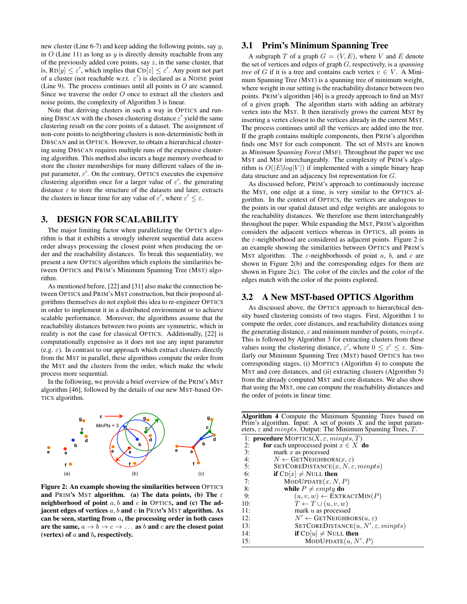new cluster (Line 6-7) and keep adding the following points, say  $y$ , in  $O$  (Line 11) as long as  $y$  is directly density reachable from any of the previously added core points, say  $z$ , in the same cluster, that is,  $RD[y] \le \varepsilon'$ , which implies that  $CD[z] \le \varepsilon'$ . Any point not part of a cluster (not reachable w.r.t.  $\varepsilon'$ ) is declared as a NOISE point (Line 9). The process continues until all points in  $O$  are scanned. Since we traverse the order O once to extract all the clusters and noise points, the complexity of Algorithm 3 is linear.

Note that deriving clusters in such a way in OPTICS and running DBSCAN with the chosen clustering distance  $\varepsilon'$  yield the same clustering result on the core points of a dataset. The assignment of non-core points to neighboring clusters is non-deterministic both in DBSCAN and in OPTICS. However, to obtain a hierarchical clustering using DBSCAN requires multiple runs of the expensive clustering algorithm. This method also incurs a huge memory overhead to store the cluster memberships for many different values of the input parameter,  $\varepsilon'$ . On the contrary, OPTICS executes the expensive clustering algorithm once for a larger value of  $\varepsilon'$ , the generating distance  $\varepsilon$  to store the structure of the datasets and later, extracts the clusters in linear time for any value of  $\varepsilon'$ , where  $\varepsilon' \leq \varepsilon$ .

#### 3. DESIGN FOR SCALABILITY

The major limiting factor when parallelizing the OPTICS algorithm is that it exhibits a strongly inherent sequential data access order always processing the closest point when producing the order and the reachability distances. To break this sequentiality, we present a new OPTICS algorithm which exploits the similarities between OPTICS and PRIM's Minimum Spanning Tree (MST) algorithm.

As mentioned before, [22] and [31] also make the connection between OPTICS and PRIM's MST construction, but their proposed algorithms themselves do not exploit this idea to re-engineer OPTICS in order to implement it in a distributed environment or to achieve scalable performance. Moreover, the algorithms assume that the reachability distances between two points are symmetric, which in reality is not the case for classical OPTICS. Additionally, [22] is computationally expensive as it does not use any input parameter (e.g.  $\varepsilon$ ). In contrast to our approach which extract clusters directly from the MST in parallel, these algorithms compute the order from the MST and the clusters from the order, which make the whole process more sequential.

In the following, we provide a brief overview of the PRIM's MST algorithm [46], followed by the details of our new MST-based OP-TICS algorithm.



Figure 2: An example showing the similarities between OPTICS and PRIM's MST algorithm. (a) The data points, (b) The  $\varepsilon$ neighborhood of point  $a, b$  and  $c$  in OPTICS, and (c) The adjacent edges of vertices  $a, b$  and  $c$  in PRIM's MST algorithm. As can be seen, starting from  $a$ , the processing order in both cases are the same,  $a \rightarrow b \rightarrow c \rightarrow \dots$  as b and c are the closest point (vertex) of  $a$  and  $b$ , respectively.

## 3.1 Prim's Minimum Spanning Tree

A subgraph T of a graph  $G = (V, E)$ , where V and E denote the set of vertices and edges of graph G, respectively, is a *spanning tree* of G if it is a tree and contains each vertex  $v \in V$ . A Minimum Spanning Tree (MST) is a spanning tree of minimum weight, where weight in our setting is the reachability distance between two points. PRIM's algorithm [46] is a greedy approach to find an MST of a given graph. The algorithm starts with adding an arbitrary vertex into the MST. It then iteratively grows the current MST by inserting a vertex closest to the vertices already in the current MST. The process continues until all the vertices are added into the tree. If the graph contains multiple components, then PRIM's algorithm finds one MST for each component. The set of MSTs are known as *Minimum Spanning Forest* (MSF). Throughout the paper we use MST and MSF interchangeably. The complexity of PRIM's algorithm is  $O(|E|log|V|)$  if implemented with a simple binary heap data structure and an adjacency list representation for G.

As discussed before, PRIM's approach to continuously increase the MST, one edge at a time, is very similar to the OPTICS algorithm. In the context of OPTICS, the vertices are analogous to the points in our spatial dataset and edge weights are analogous to the reachability distances. We therefore use them interchangeably throughout the paper. While expanding the MST, PRIM's algorithm considers the adjacent vertices whereas in OPTICS, all points in the  $\varepsilon$ -neighborhood are considered as adjacent points. Figure 2 is an example showing the similarities between OPTICS and PRIM's MST algorithm. The  $\varepsilon$ -neighborhoods of point a, b, and c are shown in Figure 2(b) and the corresponding edges for them are shown in Figure 2(c). The color of the circles and the color of the edges match with the color of the points explored.

# 3.2 A New MST-based OPTICS Algorithm

As discussed above, the OPTICS approach to hierarchical density based clustering consists of two stages. First, Algorithm 1 to compute the order, core distances, and reachability distances using the generating distance,  $\varepsilon$  and minimum number of points,  $minpts$ . This is followed by Algorithm 3 for extracting clusters from these values using the clustering distance,  $\varepsilon'$ , where  $0 \le \varepsilon' \le \varepsilon$ . Similarly our Minimum Spanning Tree (MST) based OPTICS has two corresponding stages, (i) MOPTICS (Algorithm 4) to compute the MST and core distances, and (ii) extracting clusters (Algorithm 5) from the already computed MST and core distances. We also show that using the MST, one can compute the reachability distances and the order of points in linear time.

Algorithm 4 Compute the Minimum Spanning Trees based on Prim's algorithm. Input: A set of points X and the input parameters,  $\varepsilon$  and  $minpts$ . Output: The Minimum Spanning Trees, T.

|     | 1: <b>procedure</b> MOPTICS( $X, \varepsilon$ , minpts, T) |
|-----|------------------------------------------------------------|
| 2:  | for each unprocessed point $x \in X$ do                    |
| 3:  | mark $x$ as processed                                      |
| 4:  | $N \leftarrow$ GETNEIGHBORS $(x, \varepsilon)$             |
| 5:  | SETCOREDISTANCE $(x, N, \varepsilon, minpts)$              |
| 6:  | <b>if</b> $CD[x] \neq NULL$ then                           |
| 7:  | MODUPDATE(x, N, P)                                         |
| 8:  | while $P \neq empty$ do                                    |
| 9:  | $(u, v, w) \leftarrow \text{EXTRACTMIN}(P)$                |
| 10: | $T \leftarrow T \cup (u, v, w)$                            |
| 11: | mark $u$ as processed                                      |
| 12: | $N' \leftarrow$ GETNEIGHBORS $(u, \varepsilon)$            |
| 13: | $SETCOREDISTANCE(u, N', \varepsilon, minpts)$              |
| 14: | <b>if</b> $CD[u] \neq NULL$ then                           |
| 15: | MODUPDATE $(u, N', P)$                                     |
|     |                                                            |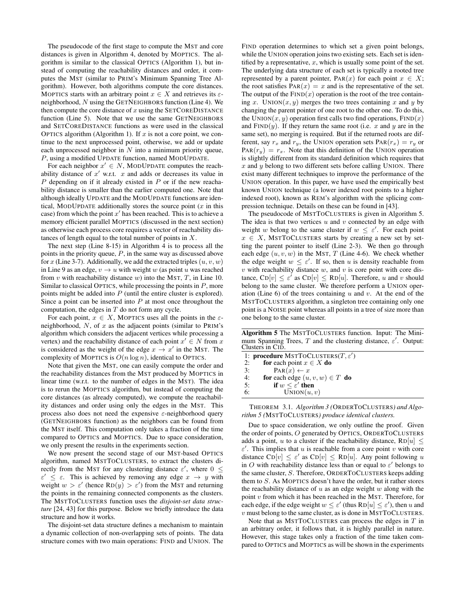The pseudocode of the first stage to compute the MST and core distances is given in Algorithm 4, denoted by MOPTICS. The algorithm is similar to the classical OPTICS (Algorithm 1), but instead of computing the reachability distances and order, it computes the MST (similar to PRIM's Minimum Spanning Tree Algorithm). However, both algorithms compute the core distances. MOPTICS starts with an arbitrary point  $x \in X$  and retrieves its  $\varepsilon$ neighborhood, N using the GETNEIGHBORS function (Line 4). We then compute the core distance of  $x$  using the SETCOREDISTANCE function (Line 5). Note that we use the same GETNEIGHBORS and SETCOREDISTANCE functions as were used in the classical OPTICS algorithm (Algorithm 1). If  $x$  is not a core point, we continue to the next unprocessed point, otherwise, we add or update each unprocessed neighbor in  $N$  into a minimum priority queue, P, using a modified UPDATE function, named MODUPDATE.

For each neighbor  $x' \in N$ , MODUPDATE computes the reachability distance of  $x'$  w.r.t.  $x$  and adds or decreases its value in  $P$  depending on if it already existed in  $P$  or if the new reachability distance is smaller than the earlier computed one. Note that although ideally UPDATE and the MODUPDATE functions are identical, MODUPDATE additionally stores the source point  $(x$  in this case) from which the point  $x'$  has been reached. This is to achieve a memory efficient parallel MOPTICS (discussed in the next section) as otherwise each process core requires a vector of reachability distances of length equal to the total number of points in  $X$ .

The next step (Line 8-15) in Algorithm 4 is to process all the points in the priority queue,  $P$ , in the same way as discussed above for x (Line 3-7). Additionally, we add the extracted triples  $(u, v, w)$ in Line 9 as an edge,  $v \rightarrow u$  with weight w (as point u was reached from  $v$  with reachability distance  $w$ ) into the MST,  $T$ , in Line 10. Similar to classical OPTICS, while processing the points in  $P$ , more points might be added into  $P$  (until the entire cluster is explored). Since a point can be inserted into  $P$  at most once throughout the computation, the edges in  $T$  do not form any cycle.

For each point,  $x \in X$ , MOPTICS uses all the points in the  $\varepsilon$ neighborhood,  $N$ , of  $x$  as the adjacent points (similar to PRIM's algorithm which considers the adjacent vertices while processing a vertex) and the reachability distance of each point  $x' \in N$  from x is considered as the weight of the edge  $x \to x'$  in the MST. The complexity of MOPTICS is  $O(n \log n)$ , identical to OPTICS.

Note that given the MST, one can easily compute the order and the reachability distances from the MST produced by MOPTICS in linear time (w.r.t. to the number of edges in the MST). The idea is to rerun the MOPTICS algorithm, but instead of computing the core distances (as already computed), we compute the reachability distances and order using only the edges in the MST. This process also does not need the expensive  $\varepsilon$ -neighborhood query (GETNEIGHBORS function) as the neighbors can be found from the MST itself. This computation only takes a fraction of the time compared to OPTICS and MOPTICS. Due to space consideration, we only present the results in the experiments section.

We now present the second stage of our MST-based OPTICS algorithm, named MSTTOCLUSTERS, to extract the clusters directly from the MST for any clustering distance  $\varepsilon'$ , where  $0 \leq$  $\varepsilon' \leq \varepsilon$ . This is achieved by removing any edge  $x \to y$  with weight  $w > \varepsilon'$  (hence  $RD(y) > \varepsilon'$ ) from the MST and returning the points in the remaining connected components as the clusters. The MSTTOCLUSTERS function uses the *disjoint-set data structure* [24, 43] for this purpose. Below we briefly introduce the data structure and how it works.

The disjoint-set data structure defines a mechanism to maintain a dynamic collection of non-overlapping sets of points. The data structure comes with two main operations: FIND and UNION. The FIND operation determines to which set a given point belongs, while the UNION operation joins two existing sets. Each set is identified by a representative,  $x$ , which is usually some point of the set. The underlying data structure of each set is typically a rooted tree represented by a parent pointer,  $PAR(x)$  for each point  $x \in X$ ; the root satisfies  $PAR(x) = x$  and is the representative of the set. The output of the  $FIND(x)$  operation is the root of the tree containing x. UNION $(x, y)$  merges the two trees containing x and y by changing the parent pointer of one root to the other one. To do this, the UNION $(x, y)$  operation first calls two find operations,  $FIND(x)$ and  $FIND(y)$ . If they return the same root (i.e. x and y are in the same set), no merging is required. But if the returned roots are different, say  $r_x$  and  $r_y$ , the UNION operation sets  $\text{PAR}(r_x) = r_y$  or  $PAR(r_y) = r_x$ . Note that this definition of the UNION operation is slightly different from its standard definition which requires that  $x$  and  $y$  belong to two different sets before calling UNION. There exist many different techniques to improve the performance of the UNION operation. In this paper, we have used the empirically best known UNION technique (a lower indexed root points to a higher indexed root), known as REM's algorithm with the splicing compression technique. Details on these can be found in [43].

The pseudocode of MSTTOCLUSTERS is given in Algorithm 5. The idea is that two vertices  $u$  and  $v$  connected by an edge with weight w belong to the same cluster if  $w \leq \varepsilon'$ . For each point  $x \in X$ , MSTTOCLUSTERS starts by creating a new set by setting the parent pointer to itself (Line 2-3). We then go through each edge  $(u, v, w)$  in the MST, T (Line 4-6). We check whether the edge weight  $w \leq \varepsilon'$ . If so, then u is density reachable from  $v$  with reachability distance  $w$ , and  $v$  is core point with core distance,  $CD[v] \leq \varepsilon'$  as  $CD[v] \leq RD[u]$ . Therefore, u and v should belong to the same cluster. We therefore perform a UNION operation (Line 6) of the trees containing  $u$  and  $v$ . At the end of the MSTTOCLUSTERS algorithm, a singleton tree containing only one point is a NOISE point whereas all points in a tree of size more than one belong to the same cluster.

Algorithm 5 The MSTTOCLUSTERS function. Input: The Minimum Spanning Trees, T and the clustering distance,  $\varepsilon'$ . Output: Clusters in CID.

|    | 1: <b>procedure</b> MSTTOCLUSTERS( $T, \varepsilon'$ ) |
|----|--------------------------------------------------------|
| 2: | for each point $x \in X$ do                            |
| 3: | $\text{PAR}(x) \leftarrow x$                           |
| 4: | for each edge $(u, v, w) \in T$ do                     |
| 5: | if $w \leq \varepsilon'$ then                          |
| 6: | UNION(u, v)                                            |

THEOREM 3.1. *Algorithm 3 (*ORDERTOCLUSTERS*) and Algorithm 5 (*MSTTOCLUSTERS*) produce identical clusters.*

Due to space consideration, we only outline the proof. Given the order of points, O generated by OPTICS, ORDERTOCLUSTERS adds a point, u to a cluster if the reachability distance,  $RD[u] \leq$  $\varepsilon'$ . This implies that u is reachable from a core point v with core distance  $CD[v] \leq \varepsilon'$  as  $CD[v] \leq RD[u]$ . Any point following u in O with reachability distance less than or equal to  $\varepsilon'$  belongs to the same cluster, S. Therefore, ORDERTOCLUSTERS keeps adding them to S. As MOPTICS doesn't have the order, but it rather stores the reachability distance of  $u$  as an edge weight  $w$  along with the point v from which it has been reached in the MST. Therefore, for each edge, if the edge weight  $w \le \varepsilon'$  (thus  $RD[u] \le \varepsilon'$ ), then u and  $v$  must belong to the same cluster, as is done in MSTTOCLUSTERS.

Note that as MSTTOCLUSTERS can process the edges in  $T$  in an arbitrary order, it follows that, it is highly parallel in nature. However, this stage takes only a fraction of the time taken compared to OPTICS and MOPTICS as will be shown in the experiments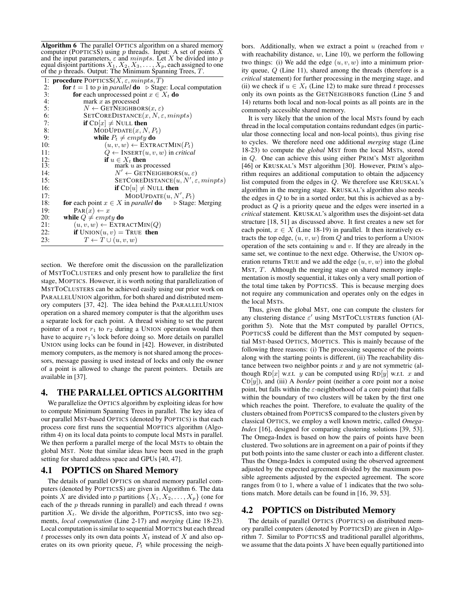Algorithm 6 The parallel OPTICS algorithm on a shared memory computer (POPTICSS) using p threads. Input: A set of points  $\tilde{X}$ and the input parameters,  $\varepsilon$  and  $minputs$ . Let X be divided into p equal disjoint partitions  $X_1, X_2, X_3, \ldots, X_p$ , each assigned to one of the  $p$  threads. Output: The Minimum Spanning Trees,  $T$ .

|                 | 1: <b>procedure</b> POPTICSS( <i>X</i> , $\varepsilon$ , <i>minpts</i> , <i>T</i> )          |
|-----------------|----------------------------------------------------------------------------------------------|
| 2:              | <b>for</b> $t = 1$ to p in parallel <b>do</b> $\triangleright$ Stage: Local computation      |
| 3:              | <b>for</b> each unprocessed point $x \in X_t$ <b>do</b>                                      |
| 4:              | mark $x$ as processed                                                                        |
| 5:              | $N \leftarrow$ GETNEIGHBORS $(x, \varepsilon)$                                               |
| 6:              | SETCOREDISTANCE $(x, N, \varepsilon,$ <i>minpts</i> )                                        |
| 7:              | <b>if</b> $CD x  \neq$ NULL then                                                             |
| 8:              | $MODUPDATE(x, N, P_t)$                                                                       |
| 9:              | while $P_t \neq empty$ do                                                                    |
| 10:             | $(u, v, w) \leftarrow \text{EXTRACTMIN}(P_t)$                                                |
| 11:             | $Q \leftarrow \text{INSERT}(u, v, w)$ in critical                                            |
| $\frac{12}{13}$ | if $u \in X_t$ then                                                                          |
|                 | mark $u$ as processed                                                                        |
| 14:             | $N' \leftarrow$ GETNEIGHBORS $(u, \varepsilon)$                                              |
| 15:             | SETCOREDISTANCE $(u, N', \varepsilon, minpts)$                                               |
| 16:             | <b>if</b> $CD[u] \neq NULL$ then                                                             |
| 17:             | $MODUPDATE(u, N', P_t)$                                                                      |
| 18:             | <b>for</b> each point $x \in X$ in <i>parallel</i> <b>do</b> $\triangleright$ Stage: Merging |
| 19:             | $\text{PAR}(x) \leftarrow x$                                                                 |
| 20:             | while $Q \neq empty$ do                                                                      |
| 21:             | $(u, v, w) \leftarrow \text{EXTRACTMIN}(Q)$                                                  |
| 22:             | <b>if</b> $UNION(u, v) = TRUE$ then                                                          |
| 23:             | $T \leftarrow T \cup (u, v, w)$                                                              |
|                 |                                                                                              |

section. We therefore omit the discussion on the parallelization of MSTTOCLUSTERS and only present how to parallelize the first stage, MOPTICS. However, it is worth noting that parallelization of MSTTOCLUSTERS can be achieved easily using our prior work on PARALLELUNION algorithm, for both shared and distributed memory computers [37, 42]. The idea behind the PARALLELUNION operation on a shared memory computer is that the algorithm uses a separate lock for each point. A thread wishing to set the parent pointer of a root  $r_1$  to  $r_2$  during a UNION operation would then have to acquire  $r_1$ 's lock before doing so. More details on parallel UNION using locks can be found in [42]. However, in distributed memory computers, as the memory is not shared among the processors, message passing is used instead of locks and only the owner of a point is allowed to change the parent pointers. Details are available in [37].

#### 4. THE PARALLEL OPTICS ALGORITHM

We parallelize the OPTICS algorithm by exploiting ideas for how to compute Minimum Spanning Trees in parallel. The key idea of our parallel MST-based OPTICS (denoted by POPTICS) is that each process core first runs the sequential MOPTICS algorithm (Algorithm 4) on its local data points to compute local MSTs in parallel. We then perform a parallel merge of the local MSTs to obtain the global MST. Note that similar ideas have been used in the graph setting for shared address space and GPUs [40, 47].

#### 4.1 POPTICS on Shared Memory

The details of parallel OPTICS on shared memory parallel computers (denoted by POPTICSS) are given in Algorithm 6. The data points X are divided into p partitions  $\{X_1, X_2, \ldots, X_p\}$  (one for each of the  $p$  threads running in parallel) and each thread  $t$  owns partition  $X_t$ . We divide the algorithm, POPTICSS, into two segments, *local computation* (Line 2-17) and *merging* (Line 18-23). Local computation is similar to sequential MOPTICS but each thread t processes only its own data points  $X_t$  instead of X and also operates on its own priority queue,  $P_t$  while processing the neighbors. Additionally, when we extract a point  $u$  (reached from  $v$ with reachability distance,  $w$ , Line 10), we perform the following two things: (i) We add the edge  $(u, v, w)$  into a minimum priority queue, Q (Line 11), shared among the threads (therefore is a *critical* statement) for further processing in the merging stage, and (ii) we check if  $u \in X_t$  (Line 12) to make sure thread t processes only its own points as the GETNEIGHBORS function (Line 5 and 14) returns both local and non-local points as all points are in the commonly accessible shared memory.

It is very likely that the union of the local MSTs found by each thread in the local computation contains redundant edges (in particular those connecting local and non-local points), thus giving rise to cycles. We therefore need one additional *merging* stage (Line 18-23) to compute the *global* MST from the local MSTs, stored in Q. One can achieve this using either PRIM's MST algorithm [46] or KRUSKAL's MST algorithm [30]. However, PRIM's algorithm requires an additional computation to obtain the adjacency list computed from the edges in Q. We therefore use KRUSKAL's algorithm in the merging stage. KRUSKAL's algorithm also needs the edges in  $Q$  to be in a sorted order, but this is achieved as a byproduct as Q is a priority queue and the edges were inserted in a *critical* statement. KRUSKAL's algorithm uses the disjoint-set data structure [18, 51] as discussed above. It first creates a new set for each point,  $x \in X$  (Line 18-19) in parallel. It then iteratively extracts the top edge,  $(u, v, w)$  from  $Q$  and tries to perform a UNION operation of the sets containing  $u$  and  $v$ . If they are already in the same set, we continue to the next edge. Otherwise, the UNION operation returns TRUE and we add the edge  $(u, v, w)$  into the global MST, T. Although the merging stage on shared memory implementation is mostly sequential, it takes only a very small portion of the total time taken by POPTICSS. This is because merging does not require any communication and operates only on the edges in the local MSTs.

Thus, given the global MST, one can compute the clusters for any clustering distance  $\varepsilon'$  using MSTTOCLUSTERS function (Algorithm 5). Note that the MST computed by parallel OPTICS, POPTICSS could be different than the MST computed by sequential MST-based OPTICS, MOPTICS. This is mainly because of the following three reasons: (i) The processing sequence of the points along with the starting points is different, (ii) The reachability distance between two neighbor points  $x$  and  $y$  are not symmetric (although RD[x] w.r.t. y can be computed using RD[y] w.r.t. x and  $CD[y]$ ), and (iii) A *border* point (neither a core point nor a noise point, but falls within the  $\varepsilon$ -neighborhood of a core point) that falls within the boundary of two clusters will be taken by the first one which reaches the point. Therefore, to evaluate the quality of the clusters obtained from POPTICSS compared to the clusters given by classical OPTICS, we employ a well known metric, called *Omega-Index* [16], designed for comparing clustering solutions [39, 53]. The Omega-Index is based on how the pairs of points have been clustered. Two solutions are in agreement on a pair of points if they put both points into the same cluster or each into a different cluster. Thus the Omega-Index is computed using the observed agreement adjusted by the expected agreement divided by the maximum possible agreements adjusted by the expected agreement. The score ranges from 0 to 1, where a value of 1 indicates that the two solutions match. More details can be found in [16, 39, 53].

# 4.2 POPTICS on Distributed Memory

The details of parallel OPTICS (POPTICS) on distributed memory parallel computers (denoted by POPTICSD) are given in Algorithm 7. Similar to POPTICSS and traditional parallel algorithms, we assume that the data points  $X$  have been equally partitioned into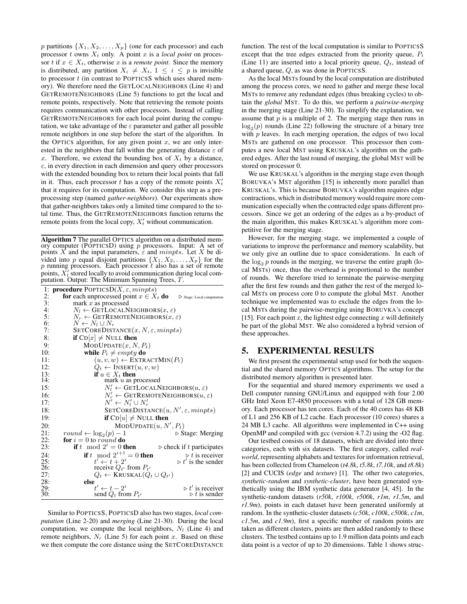p partitions  $\{X_1, X_2, \ldots, X_p\}$  (one for each processor) and each processor t owns  $X_t$  only. A point x is a *local point* on processor t if  $x \in X_t$ , otherwise x is a *remote point*. Since the memory is distributed, any partition  $X_i \neq X_t$ ,  $1 \leq i \leq p$  is invisible to processor  $t$  (in contrast to POPTICSS which uses shared memory). We therefore need the GETLOCALNEIGHBORS (Line 4) and GETREMOTENEIGHBORS (Line 5) functions to get the local and remote points, respectively. Note that retrieving the remote points requires communication with other processors. Instead of calling GETREMOTENEIGHBORS for each local point during the computation, we take advantage of the  $\varepsilon$  parameter and gather all possible remote neighbors in one step before the start of the algorithm. In the OPTICS algorithm, for any given point  $x$ , we are only interested in the neighbors that fall within the generating distance  $\varepsilon$  of x. Therefore, we extend the bounding box of  $X_t$  by a distance,  $\varepsilon$ , in every direction in each dimension and query other processors with the extended bounding box to return their local points that fall in it. Thus, each processor t has a copy of the remote points  $X_t$ that it requires for its computation. We consider this step as a preprocessing step (named *gather-neighbors*). Our experiments show that gather-neighbors takes only a limited time compared to the total time. Thus, the GETREMOTENEIGHBORS function returns the remote points from the local copy,  $X_t$  without communication.

Algorithm 7 The parallel OPTICS algorithm on a distributed memory computer (POPTICSD) using  $p$  processors. Input: A set of points X and the input parameters,  $\epsilon$  and *minpts*. Let X be divided into p equal disjoint partitions  $\{X_1, X_2, \ldots, X_p\}$  for the p running processors. Each processor t also has a set of remote points,  $X_t'$  stored locally to avoid communication during local computation. Output: The Minimum Spanning Trees, T.

|              | 1: <b>procedure</b> POPTICSD( $X$ , $\varepsilon$ , minpts)                                          |
|--------------|------------------------------------------------------------------------------------------------------|
| 2:           | <b>for</b> each unprocessed point $x \in X_t$ <b>do</b><br>$\triangleright$ Stage: Local computation |
| 3:           | mark $x$ as processed                                                                                |
| 4:           | $N_l \leftarrow$ GETLOCALNEIGHBORS $(x, \varepsilon)$                                                |
| 5:           | $N_r \leftarrow$ GETREMOTENEIGHBORS $(x, \varepsilon)$                                               |
| 6:           | $N \leftarrow N_l \cup N_r$                                                                          |
| 7:           | $\texttt{SETCOREDISTANCE}(x, N, \varepsilon, minpts)$                                                |
| 8:           | <b>if</b> $CD x  \neq NULL$ then                                                                     |
| 9:           | MODUPDATE(x, N, P <sub>t</sub> )                                                                     |
| 10:          | while $P_t \neq empty$ do                                                                            |
| 11:          | $(u, v, w) \leftarrow \text{EXTRACTMIN}(P_t)$                                                        |
| 12:          | $Q_t \leftarrow \text{INSERT}(u, v, w)$                                                              |
| 13:          | if $u \in X_t$ then                                                                                  |
| 14:          | mark $u$ as processed                                                                                |
| 15:          | $N'_l \leftarrow \text{GETLocalNEIGHBORS}(u, \varepsilon)$                                           |
| 16:          | $N'_r \leftarrow$ GETREMOTENEIGHBORS $(u, \varepsilon)$                                              |
| 17:          | $N' \leftarrow N'_l \cup N'_r$                                                                       |
| 18:          | $SETCOREDISTANCE(u, N', \varepsilon, minpts)$                                                        |
| 19:          | <b>if</b> $CD[u] \neq NULL$ then                                                                     |
| 20:          | $MODUPDATE(u, N', P_t)$                                                                              |
| 21:          | round $\leftarrow \log_2(p) - 1$<br>$\triangleright$ Stage: Merging                                  |
| 22:          | <b>for</b> $i = 0$ to round <b>do</b>                                                                |
| 23:          | if t mod $2^i = 0$ then<br>$\triangleright$ check if t participates                                  |
| 24:          | <b>if</b> t mod $2^{i+1} = 0$ then<br>$\triangleright t$ is receiver                                 |
| $^{25}_{26}$ | $t' \leftarrow t + 2^i$<br>$\triangleright t'$ is the sender                                         |
|              | receive $Q_{t'}$ from $P_{t'}$                                                                       |
| 27:          | $Q_t \leftarrow$ KRUSKAL $(Q_t \cup Q_{t'})$                                                         |
| 28:          | else                                                                                                 |
| 29:          | $t' \leftarrow t - 2^i$<br>$\triangleright t'$ is receiver<br>$\triangleright t$ is sender           |
| 30:          | send $Q_t$ from $P_{t'}$                                                                             |

Similar to POPTICSS, POPTICSD also has two stages, *local computation* (Line 2-20) and *merging* (Line 21-30). During the local computation, we compute the local neighbors,  $N_l$  (Line 4) and remote neighbors,  $N_r$  (Line 5) for each point x. Based on these we then compute the core distance using the SETCOREDISTANCE function. The rest of the local computation is similar to POPTICSS except that the tree edges extracted from the priority queue,  $P_t$ (Line 11) are inserted into a local priority queue,  $Q_t$ , instead of a shared queue, Q, as was done in POPTICSS.

As the local MSTs found by the local computation are distributed among the process cores, we need to gather and merge these local MSTs to remove any redundant edges (thus breaking cycles) to obtain the *global* MST. To do this, we perform a *pairwise-merging* in the merging stage (Line 21-30). To simplify the explanation, we assume that  $p$  is a multiple of 2. The merging stage then runs in  $log_2(p)$  rounds (Line 22) following the structure of a binary tree with  $p$  leaves. In each merging operation, the edges of two local MSTs are gathered on one processor. This processor then computes a new local MST using KRUSKAL's algorithm on the gathered edges. After the last round of merging, the global MST will be stored on processor 0.

We use KRUSKAL's algorithm in the merging stage even though BORUVKA's MST algorithm [15] is inherently more parallel than KRUSKAL's. This is because BORUVKA's algorithm requires edge contractions, which in distributed memory would require more communication especially when the contracted edge spans different processors. Since we get an ordering of the edges as a by-product of the main algorithm, this makes KRUSKAL's algorithm more competitive for the merging stage.

However, for the merging stage, we implemented a couple of variations to improve the performance and memory scalability, but we only give an outline due to space considerations. In each of the  $\log_2 p$  rounds in the merging, we traverse the entire graph (local MSTs) once, thus the overhead is proportional to the number of rounds. We therefore tried to terminate the pairwise-merging after the first few rounds and then gather the rest of the merged local MSTs on process core 0 to compute the global MST. Another technique we implemented was to exclude the edges from the local MSTs during the pairwise-merging using BORUVKA's concept [15]. For each point  $x$ , the lightest edge connecting  $x$  will definitely be part of the global MST. We also considered a hybrid version of these approaches.

#### 5. EXPERIMENTAL RESULTS

We first present the experimental setup used for both the sequential and the shared memory OPTICS algorithms. The setup for the distributed memory algorithm is presented later.

For the sequential and shared memory experiments we used a Dell computer running GNU/Linux and equipped with four 2.00 GHz Intel Xeon E7-4850 processors with a total of 128 GB memory. Each processor has ten cores. Each of the 40 cores has 48 KB of L1 and 256 KB of L2 cache. Each processor (10 cores) shares a 24 MB L3 cache. All algorithms were implemented in C++ using OpenMP and compiled with gcc (version 4.7.2) using the -O2 flag.

Our testbed consists of 18 datasets, which are divided into three categories, each with six datasets. The first category, called *realworld*, representing alphabets and textures for information retrieval, has been collected from Chameleon (*t4.8k*, *t5.8k*, *t7.10k*, and *t8.8k*) [2] and CUCIS (*edge* and *texture*) [1]. The other two categories, *synthetic-random* and *synthetic-cluster*, have been generated synthetically using the IBM synthetic data generator [4, 45]. In the synthetic-random datasets (*r50k*, *r100k*, *r500k*, *r1m*, *r1.5m*, and *r1.9m*), points in each dataset have been generated uniformly at random. In the synthetic-cluster datasets (*c50k*, *c100k*, *c500k*, *c1m*, *c1.5m*, and *c1.9m*), first a specific number of random points are taken as different clusters, points are then added randomly to these clusters. The testbed contains up to 1.9 million data points and each data point is a vector of up to 20 dimensions. Table 1 shows struc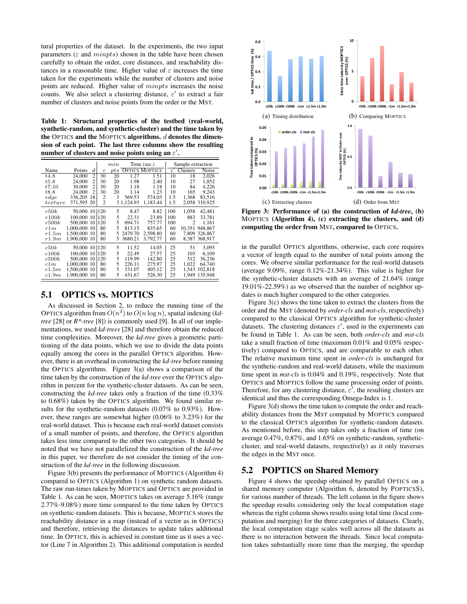tural properties of the dataset. In the experiments, the two input parameters ( $\varepsilon$  and  $minpts$ ) shown in the table have been chosen carefully to obtain the order, core distances, and reachability distances in a reasonable time. Higher value of  $\varepsilon$  increases the time taken for the experiments while the number of clusters and noise points are reduced. Higher value of minpts increases the noise counts. We also select a clustering distance,  $\varepsilon'$  to extract a fair number of clusters and noise points from the order or the MST.

Table 1: Structural properties of the testbed (real-world, synthetic-random, and synthetic-cluster) and the time taken by the OPTICS and the MOPTICS algorithms.  $d$  denotes the dimension of each point. The last three columns show the resulting number of clusters and noise points using an  $\varepsilon^{\prime}.$ 

|         |               |                |                | $_{min}$ | Time (sec.) |                       |                | Sample extraction |               |
|---------|---------------|----------------|----------------|----------|-------------|-----------------------|----------------|-------------------|---------------|
| Name    | Points        | d              | $\varepsilon$  | $_{pts}$ |             | <b>OPTICS MOPTICS</b> | $\varepsilon'$ | Clusters          | <b>Noise</b>  |
| t4.8    | 24.000        | $\overline{2}$ | 30             | 20       | 1.27        | 1.51                  | 10             | 18                | 2,026         |
| t5.8    | 24,000        | $\overline{2}$ | 30             | 20       | 1.98        | 2.40                  | 10             | 27                | 1.852         |
| t7.10   | 30,000        | $\overline{c}$ | 30             | 20       | 1.18        | 1.18                  | 10             | 84                | 4,226         |
| t8.8    | 24,000        | $\overline{c}$ | 30             | 20       | 1.14        | 1.23                  | 10             | 165               | 9.243         |
| edge    | 336,205       | 18             | 2              | 3        | 569.53      | 574.03                | 1.5            | 1.368             | 83.516        |
| texture | 371,595       | 20             | $\overline{2}$ |          | 3 1.124.93  | 1,183.44              | 1.5            |                   | 2,058 310,925 |
| r50k    | 50,000 10 120 |                |                | 5        | 8.47        | 8.82                  | 100            | 1,058             | 42,481        |
| r100k   | 100,000 10    |                | 1120           | 5        | 22.31       | 23.89                 | 100            | 883               | 33.781        |
| r500k   | 500,000 10    |                | 120            | 5        | 694.71      | 757.77                | 100            | $\overline{c}$    | 1.161         |
| r1m     | 1.000.000     | 10             | 80             | 5        | 813.15      | 835.65                | 60             | 10.351            | 948,867       |
| r1.5m   | 1.500.000     | 10             | 80             | 5        | 2479.70     | 2.598.80              | 60             | 7.809             | 326,867       |
| r1.9m   | 1.900.000 10  |                | 80             | 5        | 3680.21     | 3,792.77              | 60             |                   | 8.387 368.917 |
| c50k    | 50,000 10 120 |                |                | 5        | 11.52       | 14.05                 | 25             | 51                | 3.095         |
| c100k   | 100,000       | 10             | 120            | 5        | 22.49       | 27.57                 | 25             | 103               | 6.109         |
| c500k   | 500,000       | 10             | 120            | 5        | 119.99      | 142.80                | 25             | 512               | 36.236        |
| c1m     | 1.000.000     | 10             | 80             | 5        | 226.11      | 275.97                | 25             | 1.022             | 64.740        |
| c1.5m   | 1.500,000     | 10             | 80             | 5        | 331.07      | 405.12                | 25             | 1.543             | 102.818       |
| c1.9m   | 1.900.000     | 10             | 80             | 5        | 431.67      | 526.30                | 25             | 1.949             | 135,948       |

# 5.1 OPTICS vs. MOPTICS

As discussed in Section 2, to reduce the running time of the OPTICS algorithm from  $O(n^2)$  to  $O(n \log n)$ , spatial indexing (*kdtree* [28] or *R\*-tree* [8]) is commonly used [9]. In all of our implementations, we used *kd-trees* [28] and therefore obtain the reduced time complexities. Moreover, the *kd-tree* gives a geometric partitioning of the data points, which we use to divide the data points equally among the cores in the parallel OPTICS algorithm. However, there is an overhead in constructing the *kd-tree* before running the OPTICS algorithms. Figure 3(a) shows a comparison of the time taken by the construction of the *kd-tree* over the OPTICS algorithm in percent for the synthetic-cluster datasets. As can be seen, constructing the *kd-tree* takes only a fraction of the time (0.33% to 0.68%) taken by the OPTICS algorithm. We found similar results for the synthetic-random datasets (0.07% to 0.93%). However, these ranges are somewhat higher (0.06% to 3.23%) for the real-world dataset. This is because each real-world dataset consists of a small number of points, and therefore, the OPTICS algorithm takes less time compared to the other two categories. It should be noted that we have not parallelized the construction of the *kd-tree* in this paper, we therefore do not consider the timing of the construction of the *kd-tree* in the following discussion.

Figure 3(b) presents the performance of MOPTICS (Algorithm 4) compared to OPTICS (Algorithm 1) on synthetic random datasets. The raw run-times taken by MOPTICS and OPTICS are provided in Table 1. As can be seen, MOPTICS takes on average 5.16% (range 2.77%-9.08%) more time compared to the time taken by OPTICS on synthetic-random datasets. This is because, MOPTICS stores the reachability distance in a map (instead of a vector as in OPTICS) and therefore, retrieving the distances to update takes additional time. In OPTICS, this is achieved in constant time as it uses a vector (Line 7 in Algorithm 2). This additional computation is needed



Figure 3: Performance of (a) the construction of *kd-tree*, (b) MOPTICS (Algorithm 4), (c) extracting the clusters, and (d) computing the order from MST, compared to OPTICS.

in the parallel OPTICS algorithms, otherwise, each core requires a vector of length equal to the number of total points among the cores. We observe similar performance for the real-world datasets (average 9.09%, range 0.12%-21.34%). This value is higher for the synthetic-cluster datasets with an average of 21.64% (range 19.01%-22.59%) as we observed that the number of neighbor updates is much higher compared to the other categories.

Figure 3(c) shows the time taken to extract the clusters from the order and the MST (denoted by *order-cls* and *mst-cls*, respectively) compared to the classical OPTICS algorithm for synthetic-cluster datasets. The clustering distances  $\varepsilon'$ , used in the experiments can be found in Table 1. As can be seen, both *order-cls* and *mst-cls* take a small fraction of time (maximum 0.01% and 0.05% respectively) compared to OPTICS, and are comparable to each other. The relative maximum time spent in *order-cls* is unchanged for the synthetic-random and real-world datasets, while the maximum time spent in *mst-cls* is 0.04% and 0.19%, respectively. Note that OPTICS and MOPTICS follow the same processing order of points. Therefore, for any clustering distance,  $\varepsilon'$ , the resulting clusters are identical and thus the corresponding Omega-Index is 1.

Figure 3(d) shows the time taken to compute the order and reachability distances from the MST computed by MOPTICS compared to the classical OPTICS algorithm for synthetic-random datasets. As mentioned before, this step takes only a fraction of time (on average 0.47%, 0.87%, and 1.65% on synthetic-random, syntheticcluster, and real-world datasets, respectively) as it only traverses the edges in the MST once.

## 5.2 POPTICS on Shared Memory

Figure 4 shows the speedup obtained by parallel OPTICS on a shared memory computer (Algorithm 6, denoted by POPTICSS), for various number of threads. The left column in the figure shows the speedup results considering only the local computation stage whereas the right column shows results using total time (local computation and merging) for the three categories of datasets. Clearly, the local computation stage scales well across all the datasets as there is no interaction between the threads. Since local computation takes substantially more time than the merging, the speedup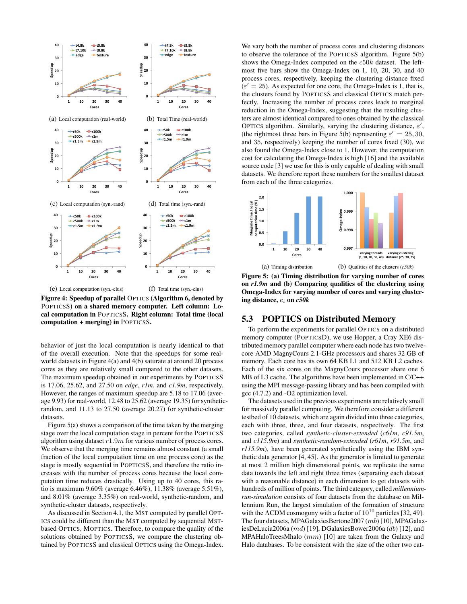

Figure 4: Speedup of parallel OPTICS (Algorithm 6, denoted by POPTICSS) on a shared memory computer. Left column: Local computation in POPTICSS. Right column: Total time (local computation + merging) in POPTICSS.

behavior of just the local computation is nearly identical to that of the overall execution. Note that the speedups for some realworld datasets in Figure 4(a) and 4(b) saturate at around 20 process cores as they are relatively small compared to the other datasets. The maximum speedup obtained in our experiments by POPTICSS is 17.06, 25.62, and 27.50 on *edge*, *r1m*, and *c1.9m*, respectively. However, the ranges of maximum speedup are 5.18 to 17.06 (average 9.93) for real-world, 12.48 to 25.62 (average 19.35) for syntheticrandom, and 11.13 to 27.50 (average 20.27) for synthetic-cluster datasets.

Figure 5(a) shows a comparison of the time taken by the merging stage over the local computation stage in percent for the POPTICSS algorithm using dataset  $r1.9m$  for various number of process cores. We observe that the merging time remains almost constant (a small fraction of the local computation time on one process core) as the stage is mostly sequential in POPTICSS, and therefore the ratio increases with the number of process cores because the local computation time reduces drastically. Using up to 40 cores, this ratio is maximum 9.60% (average 6.46%), 11.38% (average 5.51%), and 8.01% (average 3.35%) on real-world, synthetic-random, and synthetic-cluster datasets, respectively.

As discussed in Section 4.1, the MST computed by parallel OPT-ICS could be different than the MST computed by sequential MSTbased OPTICS, MOPTICS. Therefore, to compare the quality of the solutions obtained by POPTICSS, we compare the clustering obtained by POPTICSS and classical OPTICS using the Omega-Index.

We vary both the number of process cores and clustering distances to observe the tolerance of the POPTICSS algorithm. Figure 5(b) shows the Omega-Index computed on the c50k dataset. The leftmost five bars show the Omega-Index on 1, 10, 20, 30, and 40 process cores, respectively, keeping the clustering distance fixed  $(\varepsilon' = 25)$ . As expected for one core, the Omega-Index is 1, that is, the clusters found by POPTICSS and classical OPTICS match perfectly. Increasing the number of process cores leads to marginal reduction in the Omega-Index, suggesting that the resulting clusters are almost identical compared to ones obtained by the classical OPTICS algorithm. Similarly, varying the clustering distance,  $\varepsilon'$ , (the rightmost three bars in Figure 5(b) representing  $\varepsilon' = 25, 30$ , and 35, respectively) keeping the number of cores fixed (30), we also found the Omega-Index close to 1. However, the computation cost for calculating the Omega-Index is high [16] and the available source code [3] we use for this is only capable of dealing with small datasets. We therefore report these numbers for the smallest dataset from each of the three categories.



Figure 5: (a) Timing distribution for varying number of cores on *r1.9m* and (b) Comparing qualities of the clustering using Omega-Index for varying number of cores and varying clustering distance, e<sup>i</sup> on *c50k*

# 5.3 POPTICS on Distributed Memory

To perform the experiments for parallel OPTICS on a distributed memory computer (POPTICSD), we use Hopper, a Cray XE6 distributed memory parallel computer where each node has two twelvecore AMD MagnyCours 2.1-GHz processors and shares 32 GB of memory. Each core has its own 64 KB L1 and 512 KB L2 caches. Each of the six cores on the MagnyCours processor share one 6 MB of L3 cache. The algorithms have been implemented in C/C++ using the MPI message-passing library and has been compiled with gcc (4.7.2) and -O2 optimization level.

The datasets used in the previous experiments are relatively small for massively parallel computing. We therefore consider a different testbed of 10 datasets, which are again divided into three categories, each with three, three, and four datasets, respectively. The first two categories, called *synthetic-cluster-extended* (*c61m*, *c91.5m*, and *c115.9m*) and *synthetic-random-extended* (*r61m*, *r91.5m*, and *r115.9m*), have been generated synthetically using the IBM synthetic data generator [4, 45]. As the generator is limited to generate at most 2 million high dimensional points, we replicate the same data towards the left and right three times (separating each dataset with a reasonable distance) in each dimension to get datasets with hundreds of million of points. The third category, called *millenniumrun-simulation* consists of four datasets from the database on Millennium Run, the largest simulation of the formation of structure with the  $\Lambda$ CDM cosmogony with a factor of  $10^{10}$  particles [32, 49]. The four datasets, MPAGalaxiesBertone2007 (mb) [10], MPAGalaxiesDeLucia2006a (md) [19], DGalaxiesBower2006a (db) [12], and MPAHaloTreesMhalo (mm) [10] are taken from the Galaxy and Halo databases. To be consistent with the size of the other two cat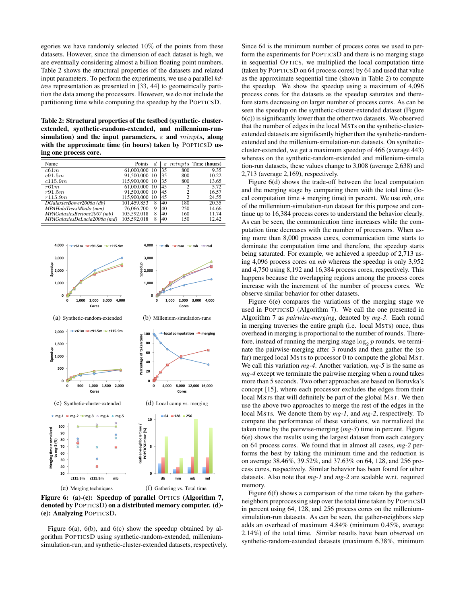egories we have randomly selected  $10\%$  of the points from these datasets. However, since the dimension of each dataset is high, we are eventually considering almost a billion floating point numbers. Table 2 shows the structural properties of the datasets and related input parameters. To perform the experiments, we use a parallel *kdtree* representation as presented in [33, 44] to geometrically partition the data among the processors. However, we do not include the partitioning time while computing the speedup by the POPTICSD.

Table 2: Structural properties of the testbed (synthetic- clusterextended, synthetic-random-extended, and millennium-runsimulation) and the input parameters,  $\varepsilon$  and  $minpts$ , along with the approximate time (in hours) taken by POPTICSD using one process core.

| Name                         | Points      | $\overline{d}$ | ε  |     | $minpts$ Time (hours) |
|------------------------------|-------------|----------------|----|-----|-----------------------|
| c61m                         | 61,000,000  | 10             | 35 | 800 | 9.35                  |
| c91.5m                       | 91,500,000  | -10            | 35 | 800 | 10.22                 |
| c115.9m                      | 115,900,000 | -10            | 35 | 800 | 13.65                 |
| r61m                         | 61,000,000  | 10             | 45 | C   | 5.72                  |
| r91.5m                       | 91,500,000  | 10             | 45 | 2   | 16.57                 |
| r115.9m                      | 115,900,000 | 10             | 45 | 2   | 24.55                 |
| DGalaxiesBower2006a (db)     | 101,459,853 | 8              | 40 | 180 | $20.\overline{35}$    |
| MPAHaloTreesMhalo (mm)       | 76,066,700  | 9              | 40 | 250 | 14.66                 |
| MPAGalaxiesBertone2007 (mb)  | 105,592,018 | 8              | 40 | 160 | 11.74                 |
| MPAGalaxiesDeLucia2006a (md) | 105.592.018 | 8              | 40 | 150 | 12.42                 |



Figure 6: (a)-(c): Speedup of parallel OPTICS (Algorithm 7, denoted by POPTICSD) on a distributed memory computer. (d)- (e): Analyzing POPTICSD.

Figure 6(a), 6(b), and 6(c) show the speedup obtained by algorithm POPTICSD using synthetic-random-extended, milleniumsimulation-run, and synthetic-cluster-extended datasets, respectively. Since 64 is the minimum number of process cores we used to perform the experiments for POPTICSD and there is no merging stage in sequential OPTICS, we multiplied the local computation time (taken by POPTICSD on 64 process cores) by 64 and used that value as the approximate sequential time (shown in Table 2) to compute the speedup. We show the speedup using a maximum of 4,096 process cores for the datasets as the speedup saturates and therefore starts decreasing on larger number of process cores. As can be seen the speedup on the synthetic-cluster-extended dataset (Figure  $6(c)$ ) is significantly lower than the other two datasets. We observed that the number of edges in the local MSTs on the synthetic-clusterextended datasets are significantly higher than the synthetic-randomextended and the millenium-simulation-run datasets. On syntheticcluster-extended, we get a maximum speedup of 466 (average 443) whereas on the synthetic-random-extended and millenium-simula tion-run datasets, these values change to 3,008 (average 2,638) and 2,713 (average 2,169), respectively.

Figure 6(d) shows the trade-off between the local computation and the merging stage by comparing them with the total time (local computation time + merging time) in percent. We use *mb*, one of the millennium-simulation-run dataset for this purpose and continue up to 16,384 process cores to understand the behavior clearly. As can be seen, the communication time increases while the computation time decreases with the number of processors. When using more than 8,000 process cores, communication time starts to dominate the computation time and therefore, the speedup starts being saturated. For example, we achieved a speedup of 2,713 using 4,096 process cores on *mb* whereas the speedup is only 3,952 and 4,750 using 8,192 and 16,384 process cores, respectively. This happens because the overlapping regions among the process cores increase with the increment of the number of process cores. We observe similar behavior for other datasets.

Figure 6(e) compares the variations of the merging stage we used in POPTICSD (Algorithm 7). We call the one presented in Algorithm 7 as *pairwise-merging*, denoted by *mg-3*. Each round in merging traverses the entire graph (i.e. local MSTs) once, thus overhead in merging is proportional to the number of rounds. Therefore, instead of running the merging stage  $log_2 p$  rounds, we terminate the pairwise-merging after 3 rounds and then gather the (so far) merged local MSTs to processor 0 to compute the global MST. We call this variation *mg-4*. Another variation, *mg-5* is the same as *mg-4* except we terminate the pairwise merging when a round takes more than 5 seconds. Two other approaches are based on Boruvka's concept [15], where each processor excludes the edges from their local MSTs that will definitely be part of the global MST. We then use the above two approaches to merge the rest of the edges in the local MSTs. We denote them by *mg-1*, and *mg-2*, respectively. To compare the performance of these variations, we normalized the taken time by the pairwise-merging (*mg-3*) time in percent. Figure 6(e) shows the results using the largest dataset from each category on 64 process cores. We found that in almost all cases, *mg-2* performs the best by taking the minimum time and the reduction is on average 38.46%, 39.52%, and 37.63% on 64, 128, and 256 process cores, respectively. Similar behavior has been found for other datasets. Also note that *mg-1* and *mg-2* are scalable w.r.t. required memory.

Figure 6(f) shows a comparison of the time taken by the gatherneighbors preprocessing step over the total time taken by POPTICSD in percent using 64, 128, and 256 process cores on the milleniumsimulation-run datasets. As can be seen, the gather-neighbors step adds an overhead of maximum 4.84% (minimum 0.45%, average 2.14%) of the total time. Similar results have been observed on synthetic-random-extended datasets (maximum 6.38%, minimum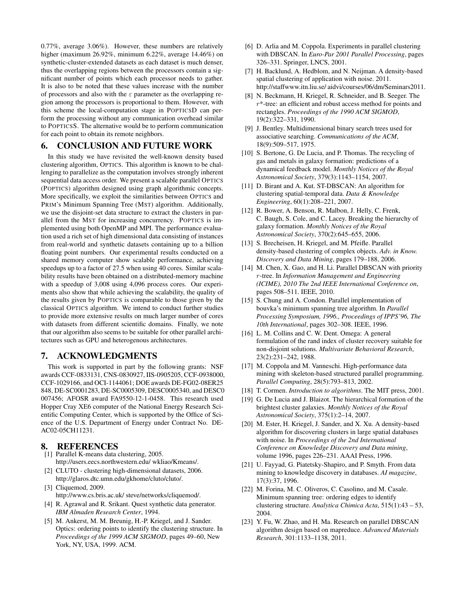0.77%, average 3.06%). However, these numbers are relatively higher (maximum 26.92%, minimum 6.22%, average 14.46%) on synthetic-cluster-extended datasets as each dataset is much denser, thus the overlapping regions between the processors contain a significant number of points which each processor needs to gather. It is also to be noted that these values increase with the number of processors and also with the  $\varepsilon$  parameter as the overlapping region among the processors is proportional to them. However, with this scheme the local-computation stage in POPTICSD can perform the processing without any communication overhead similar to POPTICSS. The alternative would be to perform communication for each point to obtain its remote neighbors.

## 6. CONCLUSION AND FUTURE WORK

In this study we have revisited the well-known density based clustering algorithm, OPTICS. This algorithm is known to be challenging to parallelize as the computation involves strongly inherent sequential data access order. We present a scalable parallel OPTICS (POPTICS) algorithm designed using graph algorithmic concepts. More specifically, we exploit the similarities between OPTICS and PRIM's Minimum Spanning Tree (MST) algorithm. Additionally, we use the disjoint-set data structure to extract the clusters in parallel from the MST for increasing concurrency. POPTICS is implemented using both OpenMP and MPI. The performance evaluation used a rich set of high dimensional data consisting of instances from real-world and synthetic datasets containing up to a billion floating point numbers. Our experimental results conducted on a shared memory computer show scalable performance, achieving speedups up to a factor of 27.5 when using 40 cores. Similar scalability results have been obtained on a distributed-memory machine with a speedup of 3,008 using 4,096 process cores. Our experiments also show that while achieving the scalability, the quality of the results given by POPTICS is comparable to those given by the classical OPTICS algorithm. We intend to conduct further studies to provide more extensive results on much larger number of cores with datasets from different scientific domains. Finally, we note that our algorithm also seems to be suitable for other parallel architectures such as GPU and heterogenous architectures.

#### 7. ACKNOWLEDGMENTS

This work is supported in part by the following grants: NSF awards CCF-0833131, CNS-0830927, IIS-0905205, CCF-0938000, CCF-1029166, and OCI-1144061; DOE awards DE-FG02-08ER25 848, DE-SC0001283, DE-SC0005309, DESC0005340, and DESC0 007456; AFOSR award FA9550-12-1-0458. This research used Hopper Cray XE6 computer of the National Energy Research Scientific Computing Center, which is supported by the Office of Science of the U.S. Department of Energy under Contract No. DE-AC02-05CH11231.

#### 8. REFERENCES

- [1] Parallel K-means data clustering, 2005. http://users.eecs.northwestern.edu/ wkliao/Kmeans/.
- [2] CLUTO clustering high-dimensional datasets, 2006. http://glaros.dtc.umn.edu/gkhome/cluto/cluto/.
- [3] Cliquemod, 2009. http://www.cs.bris.ac.uk/ steve/networks/cliquemod/.
- [4] R. Agrawal and R. Srikant. Quest synthetic data generator. *IBM Almaden Research Center*, 1994.
- [5] M. Ankerst, M. M. Breunig, H.-P. Kriegel, and J. Sander. Optics: ordering points to identify the clustering structure. In *Proceedings of the 1999 ACM SIGMOD*, pages 49–60, New York, NY, USA, 1999. ACM.
- [6] D. Arlia and M. Coppola. Experiments in parallel clustering with DBSCAN. In *Euro-Par 2001 Parallel Processing*, pages 326–331. Springer, LNCS, 2001.
- [7] H. Backlund, A. Hedblom, and N. Neijman. A density-based spatial clustering of application with noise. 2011. http://staffwww.itn.liu.se/ aidvi/courses/06/dm/Seminars2011.
- [8] N. Beckmann, H. Kriegel, R. Schneider, and B. Seeger. The  $r^*$ -tree: an efficient and robust access method for points and rectangles. *Proceedings of the 1990 ACM SIGMOD*, 19(2):322–331, 1990.
- [9] J. Bentley. Multidimensional binary search trees used for associative searching. *Communications of the ACM*, 18(9):509–517, 1975.
- [10] S. Bertone, G. De Lucia, and P. Thomas. The recycling of gas and metals in galaxy formation: predictions of a dynamical feedback model. *Monthly Notices of the Royal Astronomical Society*, 379(3):1143–1154, 2007.
- [11] D. Birant and A. Kut. ST-DBSCAN: An algorithm for clustering spatial-temporal data. *Data & Knowledge Engineering*, 60(1):208–221, 2007.
- [12] R. Bower, A. Benson, R. Malbon, J. Helly, C. Frenk, C. Baugh, S. Cole, and C. Lacey. Breaking the hierarchy of galaxy formation. *Monthly Notices of the Royal Astronomical Society*, 370(2):645–655, 2006.
- [13] S. Brecheisen, H. Kriegel, and M. Pfeifle. Parallel density-based clustering of complex objects. *Adv. in Know. Discovery and Data Mining*, pages 179–188, 2006.
- [14] M. Chen, X. Gao, and H. Li. Parallel DBSCAN with priority r-tree. In *Information Management and Engineering (ICIME), 2010 The 2nd IEEE International Conference on*, pages 508–511. IEEE, 2010.
- [15] S. Chung and A. Condon. Parallel implementation of bouvka's minimum spanning tree algorithm. In *Parallel Processing Symposium, 1996., Proceedings of IPPS'96, The 10th International*, pages 302–308. IEEE, 1996.
- [16] L. M. Collins and C. W. Dent. Omega: A general formulation of the rand index of cluster recovery suitable for non-disjoint solutions. *Multivariate Behavioral Research*, 23(2):231–242, 1988.
- [17] M. Coppola and M. Vanneschi. High-performance data mining with skeleton-based structured parallel programming. *Parallel Computing*, 28(5):793–813, 2002.
- [18] T. Cormen. *Introduction to algorithms*. The MIT press, 2001.
- [19] G. De Lucia and J. Blaizot. The hierarchical formation of the brightest cluster galaxies. *Monthly Notices of the Royal Astronomical Society*, 375(1):2–14, 2007.
- [20] M. Ester, H. Kriegel, J. Sander, and X. Xu. A density-based algorithm for discovering clusters in large spatial databases with noise. In *Proceedings of the 2nd International Conference on Knowledge Discovery and Data mining*, volume 1996, pages 226–231. AAAI Press, 1996.
- [21] U. Fayyad, G. Piatetsky-Shapiro, and P. Smyth. From data mining to knowledge discovery in databases. *AI magazine*, 17(3):37, 1996.
- [22] M. Forina, M. C. Oliveros, C. Casolino, and M. Casale. Minimum spanning tree: ordering edges to identify clustering structure. *Analytica Chimica Acta*, 515(1):43 – 53, 2004.
- [23] Y. Fu, W. Zhao, and H. Ma. Research on parallel DBSCAN algorithm design based on mapreduce. *Advanced Materials Research*, 301:1133–1138, 2011.